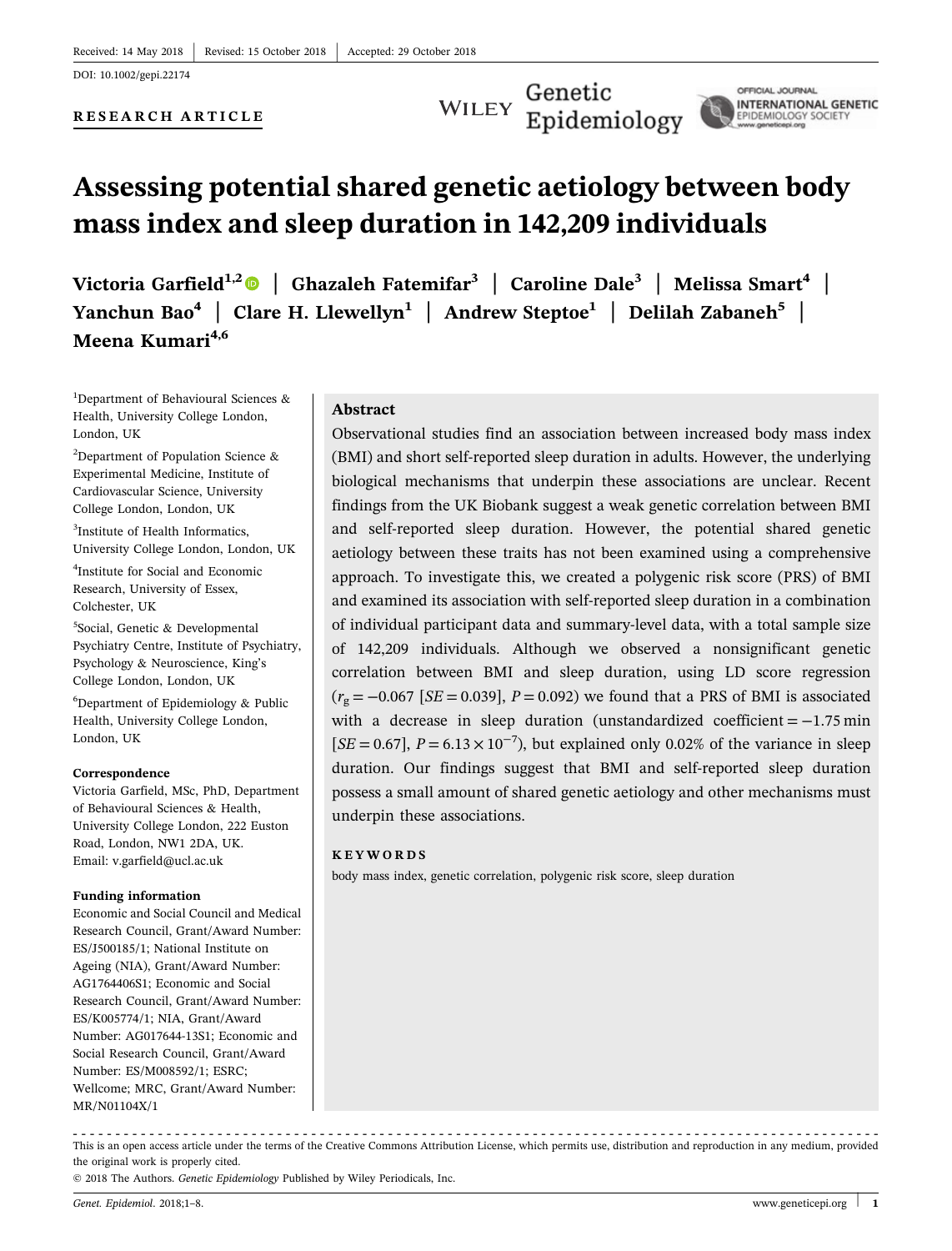DOI: 10.1002/gepi.22174

# RESEARCH ARTICLE

# WILEY Genetic<br>Epidemiology



# Assessing potential shared genetic aetiology between body mass index and sleep duration in 142,209 individuals

Victoria Garfield<sup>1,2</sup> | Ghazaleh Fatemifar<sup>3</sup> | Caroline Dale<sup>3</sup> | Melissa Smart<sup>4</sup> | Yanchun Bao<sup>4</sup> | Clare H. Llewellyn<sup>1</sup> | Andrew Steptoe<sup>1</sup> | Delilah Zabaneh<sup>5</sup> | Meena Kumari<sup>4,6</sup>

<sup>1</sup>Department of Behavioural Sciences & Health, University College London, London, UK

<sup>2</sup>Department of Population Science & Experimental Medicine, Institute of Cardiovascular Science, University College London, London, UK

3 Institute of Health Informatics, University College London, London, UK

4 Institute for Social and Economic Research, University of Essex, Colchester, UK

5 Social, Genetic & Developmental Psychiatry Centre, Institute of Psychiatry, Psychology & Neuroscience, King's College London, London, UK

6 Department of Epidemiology & Public Health, University College London, London, UK

#### Correspondence

Victoria Garfield, MSc, PhD, Department of Behavioural Sciences & Health, University College London, 222 Euston Road, London, NW1 2DA, UK. Email: v.garfield@ucl.ac.uk

#### Funding information

Economic and Social Council and Medical Research Council, Grant/Award Number: ES/J500185/1; National Institute on Ageing (NIA), Grant/Award Number: AG1764406S1; Economic and Social Research Council, Grant/Award Number: ES/K005774/1; NIA, Grant/Award Number: AG017644‐13S1; Economic and Social Research Council, Grant/Award Number: ES/M008592/1; ESRC; Wellcome; MRC, Grant/Award Number: MR/N01104X/1

### Abstract

Observational studies find an association between increased body mass index (BMI) and short self‐reported sleep duration in adults. However, the underlying biological mechanisms that underpin these associations are unclear. Recent findings from the UK Biobank suggest a weak genetic correlation between BMI and self‐reported sleep duration. However, the potential shared genetic aetiology between these traits has not been examined using a comprehensive approach. To investigate this, we created a polygenic risk score (PRS) of BMI and examined its association with self‐reported sleep duration in a combination of individual participant data and summary‐level data, with a total sample size of 142,209 individuals. Although we observed a nonsignificant genetic correlation between BMI and sleep duration, using LD score regression  $(r<sub>g</sub> = -0.067$  [*SE* = 0.039], *P* = 0.092) we found that a PRS of BMI is associated with a decrease in sleep duration (unstandardized coefficient  $= -1.75$  min [SE = 0.67],  $P = 6.13 \times 10^{-7}$ ), but explained only 0.02% of the variance in sleep duration. Our findings suggest that BMI and self-reported sleep duration possess a small amount of shared genetic aetiology and other mechanisms must underpin these associations.

### KEYWORDS

body mass index, genetic correlation, polygenic risk score, sleep duration

This is an open access article under the terms of the Creative Commons Attribution License, which permits use, distribution and reproduction in any medium, provided the original work is properly cited.

© 2018 The Authors. Genetic Epidemiology Published by Wiley Periodicals, Inc.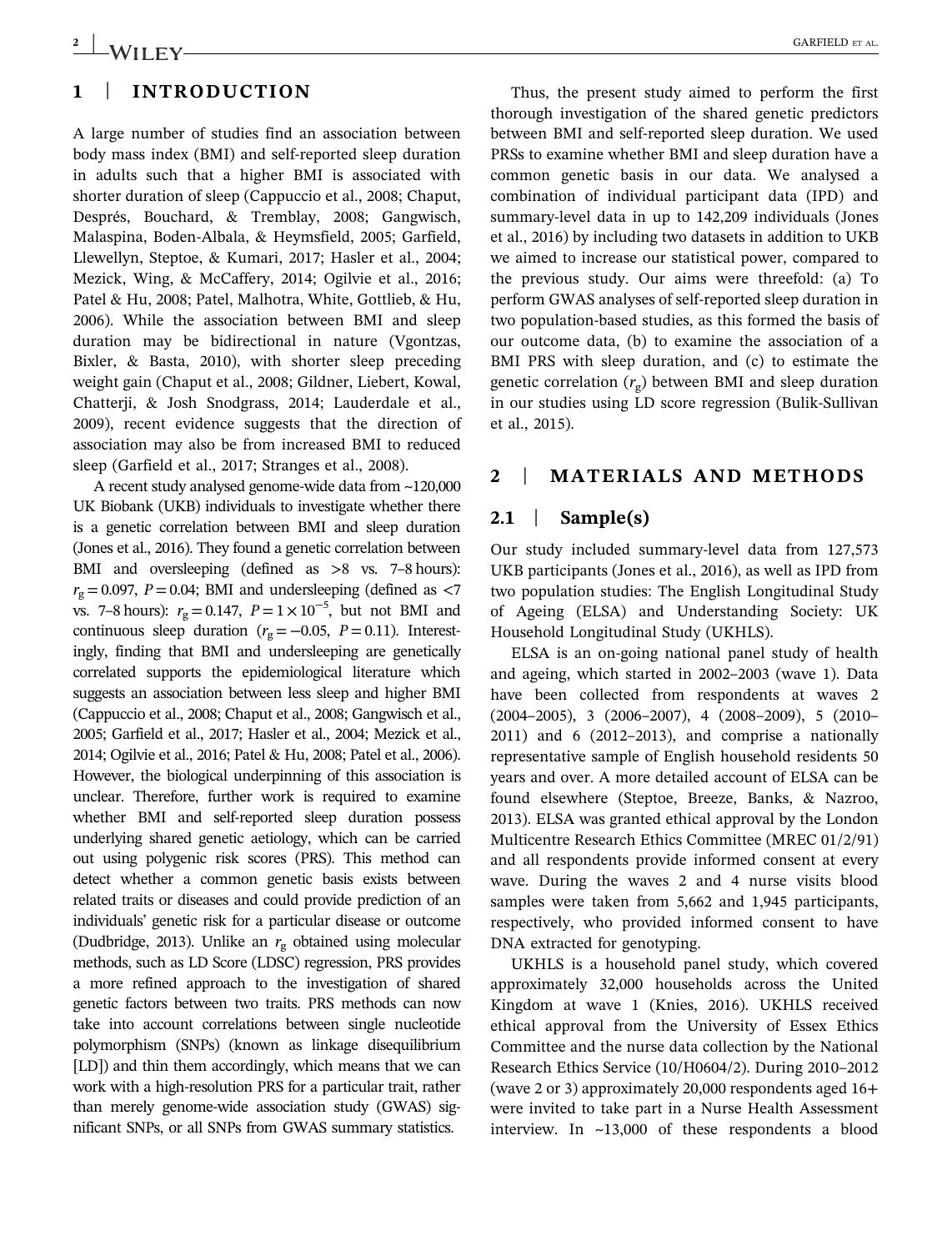# 1 | INTRODUCTION

A large number of studies find an association between body mass index (BMI) and self‐reported sleep duration in adults such that a higher BMI is associated with shorter duration of sleep (Cappuccio et al., 2008; Chaput, Després, Bouchard, & Tremblay, 2008; Gangwisch, Malaspina, Boden‐Albala, & Heymsfield, 2005; Garfield, Llewellyn, Steptoe, & Kumari, 2017; Hasler et al., 2004; Mezick, Wing, & McCaffery, 2014; Ogilvie et al., 2016; Patel & Hu, 2008; Patel, Malhotra, White, Gottlieb, & Hu, 2006). While the association between BMI and sleep duration may be bidirectional in nature (Vgontzas, Bixler, & Basta, 2010), with shorter sleep preceding weight gain (Chaput et al., 2008; Gildner, Liebert, Kowal, Chatterji, & Josh Snodgrass, 2014; Lauderdale et al., 2009), recent evidence suggests that the direction of association may also be from increased BMI to reduced sleep (Garfield et al., 2017; Stranges et al., 2008).

A recent study analysed genome‐wide data from ~120,000 UK Biobank (UKB) individuals to investigate whether there is a genetic correlation between BMI and sleep duration (Jones et al., 2016). They found a genetic correlation between BMI and oversleeping (defined as  $>8$  vs. 7–8 hours):  $r<sub>s</sub> = 0.097$ ,  $P = 0.04$ ; BMI and undersleeping (defined as <7 vs. 7–8 hours):  $r_g = 0.147$ ,  $P = 1 \times 10^{-5}$ , but not BMI and continuous sleep duration ( $r_g = -0.05$ ,  $P = 0.11$ ). Interestingly, finding that BMI and undersleeping are genetically correlated supports the epidemiological literature which suggests an association between less sleep and higher BMI (Cappuccio et al., 2008; Chaput et al., 2008; Gangwisch et al., 2005; Garfield et al., 2017; Hasler et al., 2004; Mezick et al., 2014; Ogilvie et al., 2016; Patel & Hu, 2008; Patel et al., 2006). However, the biological underpinning of this association is unclear. Therefore, further work is required to examine whether BMI and self-reported sleep duration possess underlying shared genetic aetiology, which can be carried out using polygenic risk scores (PRS). This method can detect whether a common genetic basis exists between related traits or diseases and could provide prediction of an individuals' genetic risk for a particular disease or outcome (Dudbridge, 2013). Unlike an  $r_g$  obtained using molecular methods, such as LD Score (LDSC) regression, PRS provides a more refined approach to the investigation of shared genetic factors between two traits. PRS methods can now take into account correlations between single nucleotide polymorphism (SNPs) (known as linkage disequilibrium [LD]) and thin them accordingly, which means that we can work with a high‐resolution PRS for a particular trait, rather than merely genome‐wide association study (GWAS) significant SNPs, or all SNPs from GWAS summary statistics.

Thus, the present study aimed to perform the first thorough investigation of the shared genetic predictors between BMI and self‐reported sleep duration. We used PRSs to examine whether BMI and sleep duration have a common genetic basis in our data. We analysed a combination of individual participant data (IPD) and summary‐level data in up to 142,209 individuals (Jones et al., 2016) by including two datasets in addition to UKB we aimed to increase our statistical power, compared to the previous study. Our aims were threefold: (a) To perform GWAS analyses of self‐reported sleep duration in two population‐based studies, as this formed the basis of our outcome data, (b) to examine the association of a BMI PRS with sleep duration, and (c) to estimate the genetic correlation  $(r_g)$  between BMI and sleep duration in our studies using LD score regression (Bulik‐Sullivan et al., 2015).

# 2 | MATERIALS AND METHODS

## 2.1 | Sample(s)

Our study included summary‐level data from 127,573 UKB participants (Jones et al., 2016), as well as IPD from two population studies: The English Longitudinal Study of Ageing (ELSA) and Understanding Society: UK Household Longitudinal Study (UKHLS).

ELSA is an on‐going national panel study of health and ageing, which started in 2002–2003 (wave 1). Data have been collected from respondents at waves 2 (2004–2005), 3 (2006–2007), 4 (2008–2009), 5 (2010– 2011) and 6 (2012–2013), and comprise a nationally representative sample of English household residents 50 years and over. A more detailed account of ELSA can be found elsewhere (Steptoe, Breeze, Banks, & Nazroo, 2013). ELSA was granted ethical approval by the London Multicentre Research Ethics Committee (MREC 01/2/91) and all respondents provide informed consent at every wave. During the waves 2 and 4 nurse visits blood samples were taken from 5,662 and 1,945 participants, respectively, who provided informed consent to have DNA extracted for genotyping.

UKHLS is a household panel study, which covered approximately 32,000 households across the United Kingdom at wave 1 (Knies, 2016). UKHLS received ethical approval from the University of Essex Ethics Committee and the nurse data collection by the National Research Ethics Service (10/H0604/2). During 2010–2012 (wave 2 or 3) approximately 20,000 respondents aged 16+ were invited to take part in a Nurse Health Assessment interview. In ~13,000 of these respondents a blood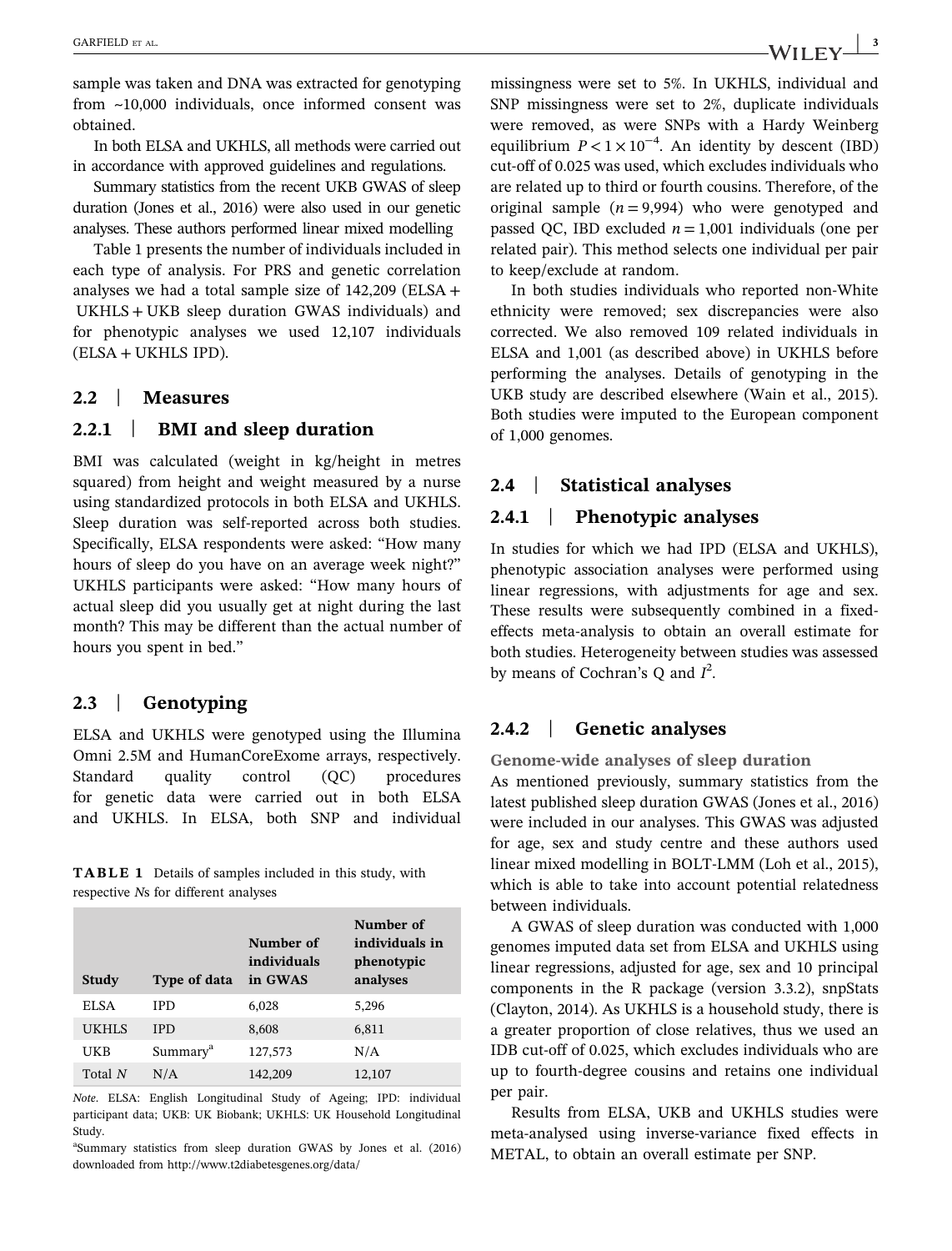sample was taken and DNA was extracted for genotyping from ~10,000 individuals, once informed consent was obtained.

In both ELSA and UKHLS, all methods were carried out in accordance with approved guidelines and regulations.

Summary statistics from the recent UKB GWAS of sleep duration (Jones et al., 2016) were also used in our genetic analyses. These authors performed linear mixed modelling

Table 1 presents the number of individuals included in each type of analysis. For PRS and genetic correlation analyses we had a total sample size of  $142,209$  (ELSA + UKHLS + UKB sleep duration GWAS individuals) and for phenotypic analyses we used 12,107 individuals (ELSA + UKHLS IPD).

### 2.2 | Measures

### 2.2.1 | BMI and sleep duration

BMI was calculated (weight in kg/height in metres squared) from height and weight measured by a nurse using standardized protocols in both ELSA and UKHLS. Sleep duration was self-reported across both studies. Specifically, ELSA respondents were asked: "How many hours of sleep do you have on an average week night?" UKHLS participants were asked: "How many hours of actual sleep did you usually get at night during the last month? This may be different than the actual number of hours you spent in bed."

### 2.3 | Genotyping

ELSA and UKHLS were genotyped using the Illumina Omni 2.5M and HumanCoreExome arrays, respectively. Standard quality control (QC) procedures for genetic data were carried out in both ELSA and UKHLS. In ELSA, both SNP and individual

TABLE 1 Details of samples included in this study, with respective Ns for different analyses

| Study       | Type of data         | Number of<br>individuals<br>in GWAS | Number of<br>individuals in<br>phenotypic<br>analyses |
|-------------|----------------------|-------------------------------------|-------------------------------------------------------|
| <b>ELSA</b> | <b>IPD</b>           | 6,028                               | 5.296                                                 |
| UKHLS       | <b>IPD</b>           | 8,608                               | 6,811                                                 |
| UKB         | Summary <sup>a</sup> | 127,573                             | N/A                                                   |
| Total N     | N/A                  | 142.209                             | 12,107                                                |

Note. ELSA: English Longitudinal Study of Ageing; IPD: individual participant data; UKB: UK Biobank; UKHLS: UK Household Longitudinal Study.

a Summary statistics from sleep duration GWAS by Jones et al. (2016) downloaded from http://www.t2diabetesgenes.org/data/

missingness were set to 5%. In UKHLS, individual and SNP missingness were set to 2%, duplicate individuals were removed, as were SNPs with a Hardy Weinberg equilibrium  $P < 1 \times 10^{-4}$ . An identity by descent (IBD) cut‐off of 0.025 was used, which excludes individuals who are related up to third or fourth cousins. Therefore, of the original sample  $(n = 9,994)$  who were genotyped and passed OC, IBD excluded  $n = 1,001$  individuals (one per related pair). This method selects one individual per pair to keep/exclude at random.

In both studies individuals who reported non‐White ethnicity were removed; sex discrepancies were also corrected. We also removed 109 related individuals in ELSA and 1,001 (as described above) in UKHLS before performing the analyses. Details of genotyping in the UKB study are described elsewhere (Wain et al., 2015). Both studies were imputed to the European component of 1,000 genomes.

### 2.4 | Statistical analyses

### 2.4.1 | Phenotypic analyses

In studies for which we had IPD (ELSA and UKHLS), phenotypic association analyses were performed using linear regressions, with adjustments for age and sex. These results were subsequently combined in a fixed‐ effects meta‐analysis to obtain an overall estimate for both studies. Heterogeneity between studies was assessed by means of Cochran's Q and  $I^2$ .

### 2.4.2 | Genetic analyses

Genome‐wide analyses of sleep duration As mentioned previously, summary statistics from the latest published sleep duration GWAS (Jones et al., 2016) were included in our analyses. This GWAS was adjusted for age, sex and study centre and these authors used linear mixed modelling in BOLT‐LMM (Loh et al., 2015), which is able to take into account potential relatedness between individuals.

A GWAS of sleep duration was conducted with 1,000 genomes imputed data set from ELSA and UKHLS using linear regressions, adjusted for age, sex and 10 principal components in the R package (version 3.3.2), snpStats (Clayton, 2014). As UKHLS is a household study, there is a greater proportion of close relatives, thus we used an IDB cut‐off of 0.025, which excludes individuals who are up to fourth‐degree cousins and retains one individual per pair.

Results from ELSA, UKB and UKHLS studies were meta‐analysed using inverse‐variance fixed effects in METAL, to obtain an overall estimate per SNP.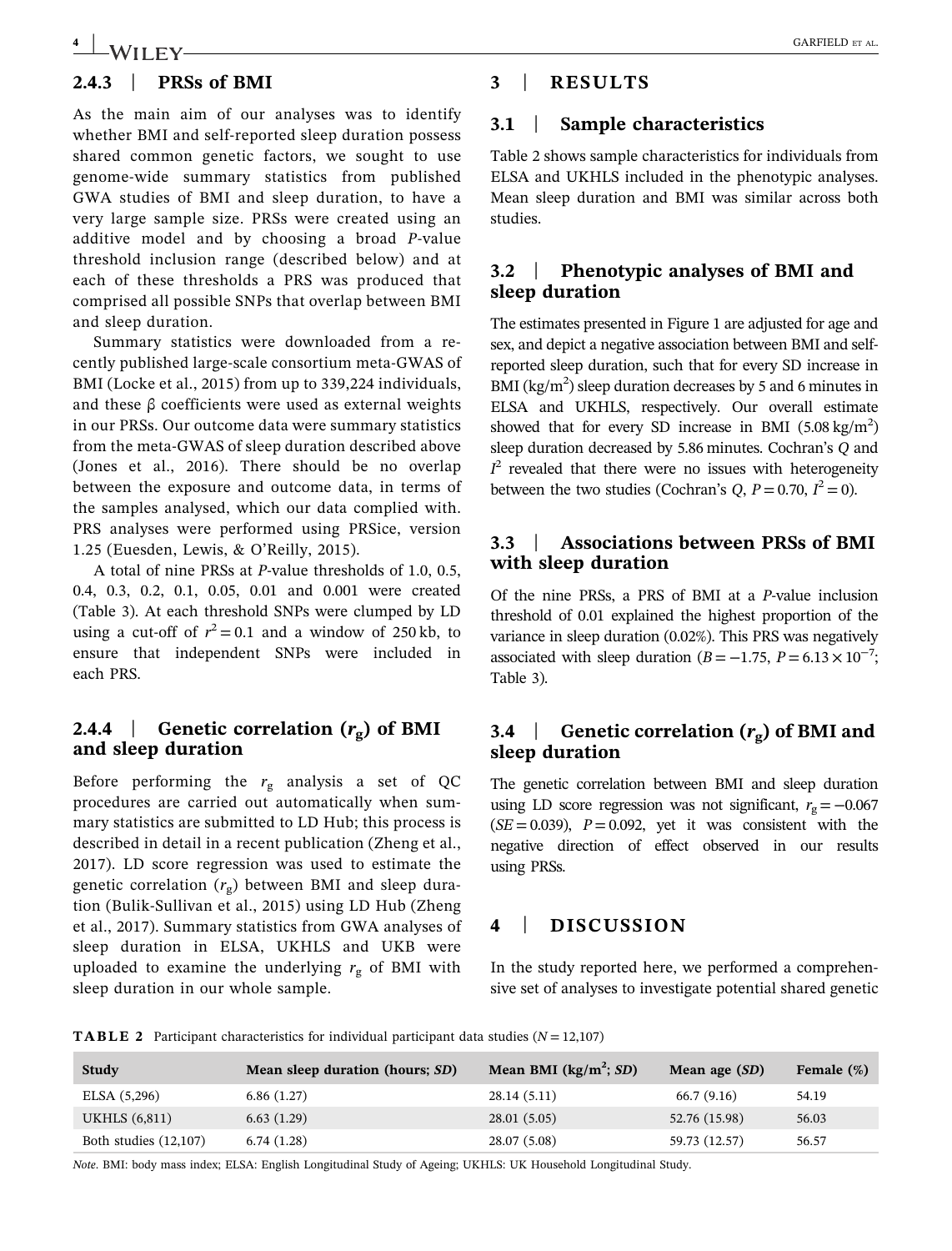# 2.4.3 | PRSs of BMI

As the main aim of our analyses was to identify whether BMI and self-reported sleep duration possess shared common genetic factors, we sought to use genome‐wide summary statistics from published GWA studies of BMI and sleep duration, to have a very large sample size. PRSs were created using an additive model and by choosing a broad P‐value threshold inclusion range (described below) and at each of these thresholds a PRS was produced that comprised all possible SNPs that overlap between BMI and sleep duration.

Summary statistics were downloaded from a recently published large‐scale consortium meta‐GWAS of BMI (Locke et al., 2015) from up to 339,224 individuals, and these  $\beta$  coefficients were used as external weights in our PRSs. Our outcome data were summary statistics from the meta‐GWAS of sleep duration described above (Jones et al., 2016). There should be no overlap between the exposure and outcome data, in terms of the samples analysed, which our data complied with. PRS analyses were performed using PRSice, version 1.25 (Euesden, Lewis, & O'Reilly, 2015).

A total of nine PRSs at P‐value thresholds of 1.0, 0.5, 0.4, 0.3, 0.2, 0.1, 0.05, 0.01 and 0.001 were created (Table 3). At each threshold SNPs were clumped by LD using a cut-off of  $r^2 = 0.1$  and a window of 250 kb, to ensure that independent SNPs were included in each PRS.

# 2.4.4 Genetic correlation  $(r_g)$  of BMI and sleep duration

Before performing the  $r_g$  analysis a set of QC procedures are carried out automatically when summary statistics are submitted to LD Hub; this process is described in detail in a recent publication (Zheng et al., 2017). LD score regression was used to estimate the genetic correlation  $(r_g)$  between BMI and sleep duration (Bulik‐Sullivan et al., 2015) using LD Hub (Zheng et al., 2017). Summary statistics from GWA analyses of sleep duration in ELSA, UKHLS and UKB were uploaded to examine the underlying  $r_g$  of BMI with sleep duration in our whole sample.

# 3 | RESULTS

# 3.1 | Sample characteristics

Table 2 shows sample characteristics for individuals from ELSA and UKHLS included in the phenotypic analyses. Mean sleep duration and BMI was similar across both studies.

# 3.2 | Phenotypic analyses of BMI and sleep duration

The estimates presented in Figure 1 are adjusted for age and sex, and depict a negative association between BMI and selfreported sleep duration, such that for every SD increase in BMI ( $\text{kg/m}^2$ ) sleep duration decreases by 5 and 6 minutes in ELSA and UKHLS, respectively. Our overall estimate showed that for every SD increase in BMI  $(5.08 \text{ kg/m}^2)$ sleep duration decreased by 5.86 minutes. Cochran's Q and  $I^2$  revealed that there were no issues with heterogeneity between the two studies (Cochran's  $Q$ ,  $P = 0.70$ ,  $I^2 = 0$ ).

# 3.3 | Associations between PRSs of BMI with sleep duration

Of the nine PRSs, a PRS of BMI at a P‐value inclusion threshold of 0.01 explained the highest proportion of the variance in sleep duration (0.02%). This PRS was negatively associated with sleep duration ( $B = -1.75$ ,  $P = 6.13 \times 10^{-7}$ ; Table 3).

# 3.4 | Genetic correlation  $(r_g)$  of BMI and sleep duration

The genetic correlation between BMI and sleep duration using LD score regression was not significant,  $r<sub>g</sub> = -0.067$  $(SE = 0.039)$ ,  $P = 0.092$ , yet it was consistent with the negative direction of effect observed in our results using PRSs.

# 4 | DISCUSSION

In the study reported here, we performed a comprehensive set of analyses to investigate potential shared genetic

**TABLE 2** Participant characteristics for individual participant data studies  $(N = 12,107)$ 

| <b>Study</b>            | Mean sleep duration (hours; SD) | Mean BMI $(kg/m^2; SD)$ | Mean age $(SD)$ | Female $(\%)$ |
|-------------------------|---------------------------------|-------------------------|-----------------|---------------|
| ELSA (5,296)            | 6.86(1.27)                      | 28.14(5.11)             | 66.7(9.16)      | 54.19         |
| <b>UKHLS</b> (6,811)    | 6.63(1.29)                      | 28.01(5.05)             | 52.76 (15.98)   | 56.03         |
| Both studies $(12,107)$ | 6.74(1.28)                      | 28.07(5.08)             | 59.73 (12.57)   | 56.57         |

Note. BMI: body mass index; ELSA: English Longitudinal Study of Ageing; UKHLS: UK Household Longitudinal Study.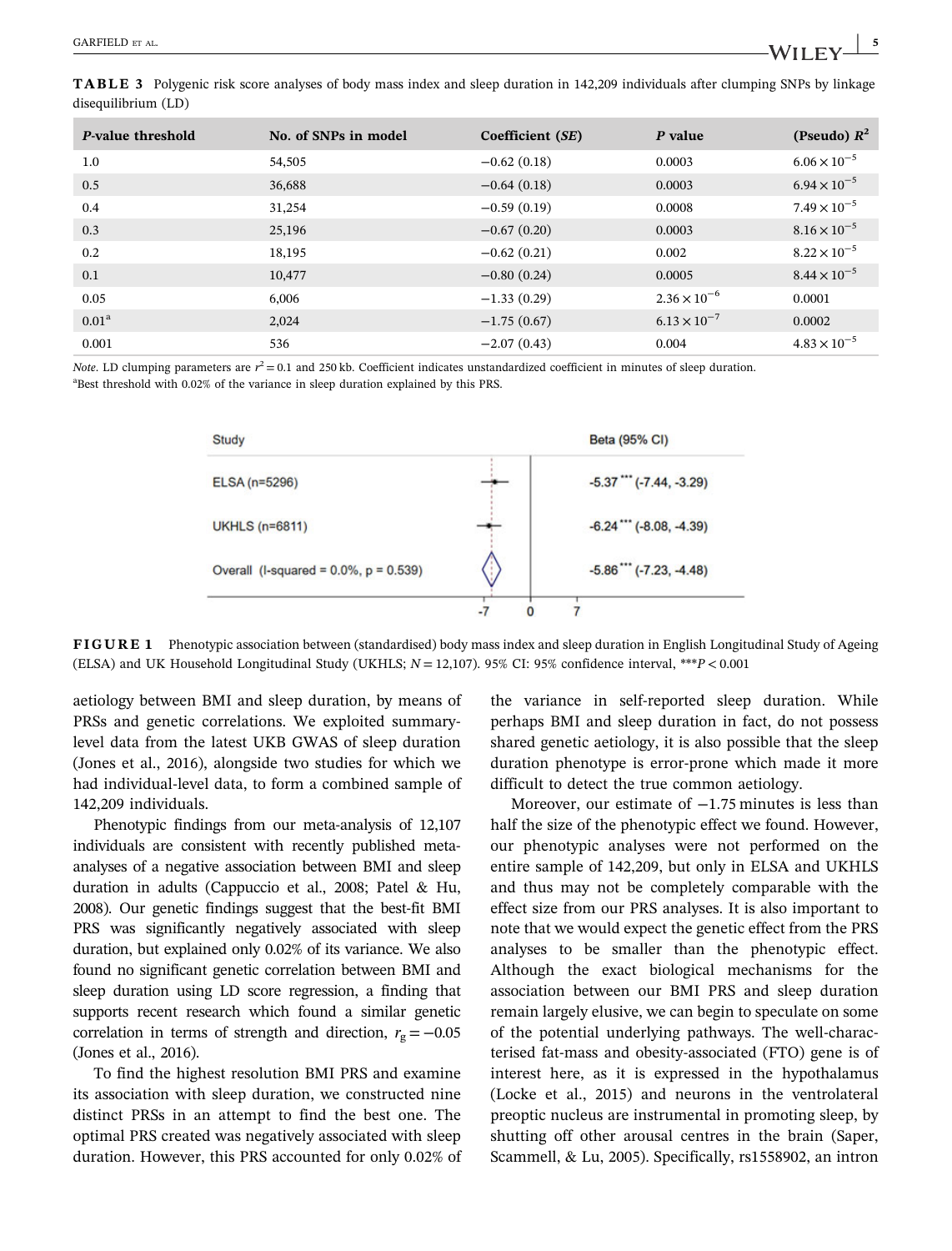TABLE 3 Polygenic risk score analyses of body mass index and sleep duration in 142,209 individuals after clumping SNPs by linkage disequilibrium (LD)

| P-value threshold | No. of SNPs in model | Coefficient (SE) | P value               | (Pseudo) $R^2$        |
|-------------------|----------------------|------------------|-----------------------|-----------------------|
| 1.0               | 54,505               | $-0.62(0.18)$    | 0.0003                | $6.06 \times 10^{-5}$ |
| 0.5               | 36,688               | $-0.64(0.18)$    | 0.0003                | $6.94 \times 10^{-5}$ |
| 0.4               | 31,254               | $-0.59(0.19)$    | 0.0008                | $7.49 \times 10^{-5}$ |
| 0.3               | 25,196               | $-0.67(0.20)$    | 0.0003                | $8.16 \times 10^{-5}$ |
| 0.2               | 18,195               | $-0.62(0.21)$    | 0.002                 | $8.22 \times 10^{-5}$ |
| 0.1               | 10,477               | $-0.80(0.24)$    | 0.0005                | $8.44 \times 10^{-5}$ |
| 0.05              | 6.006                | $-1.33(0.29)$    | $2.36 \times 10^{-6}$ | 0.0001                |
| 0.01 <sup>a</sup> | 2,024                | $-1.75(0.67)$    | $6.13 \times 10^{-7}$ | 0.0002                |
| 0.001             | 536                  | $-2.07(0.43)$    | 0.004                 | $4.83 \times 10^{-5}$ |

Note. LD clumping parameters are  $r^2 = 0.1$  and 250 kb. Coefficient indicates unstandardized coefficient in minutes of sleep duration.

<sup>a</sup>Best threshold with 0.02% of the variance in sleep duration explained by this PRS.



FIGURE 1 Phenotypic association between (standardised) body mass index and sleep duration in English Longitudinal Study of Ageing (ELSA) and UK Household Longitudinal Study (UKHLS;  $N = 12,107$ ). 95% CI: 95% confidence interval, \*\*\* $P < 0.001$ 

aetiology between BMI and sleep duration, by means of PRSs and genetic correlations. We exploited summary‐ level data from the latest UKB GWAS of sleep duration (Jones et al., 2016), alongside two studies for which we had individual-level data, to form a combined sample of 142,209 individuals.

Phenotypic findings from our meta‐analysis of 12,107 individuals are consistent with recently published meta‐ analyses of a negative association between BMI and sleep duration in adults (Cappuccio et al., 2008; Patel & Hu, 2008). Our genetic findings suggest that the best‐fit BMI PRS was significantly negatively associated with sleep duration, but explained only 0.02% of its variance. We also found no significant genetic correlation between BMI and sleep duration using LD score regression, a finding that supports recent research which found a similar genetic correlation in terms of strength and direction,  $r<sub>g</sub> = -0.05$ (Jones et al., 2016).

To find the highest resolution BMI PRS and examine its association with sleep duration, we constructed nine distinct PRSs in an attempt to find the best one. The optimal PRS created was negatively associated with sleep duration. However, this PRS accounted for only 0.02% of

the variance in self‐reported sleep duration. While perhaps BMI and sleep duration in fact, do not possess shared genetic aetiology, it is also possible that the sleep duration phenotype is error‐prone which made it more difficult to detect the true common aetiology.

Moreover, our estimate of −1.75 minutes is less than half the size of the phenotypic effect we found. However, our phenotypic analyses were not performed on the entire sample of 142,209, but only in ELSA and UKHLS and thus may not be completely comparable with the effect size from our PRS analyses. It is also important to note that we would expect the genetic effect from the PRS analyses to be smaller than the phenotypic effect. Although the exact biological mechanisms for the association between our BMI PRS and sleep duration remain largely elusive, we can begin to speculate on some of the potential underlying pathways. The well‐characterised fat‐mass and obesity‐associated (FTO) gene is of interest here, as it is expressed in the hypothalamus (Locke et al., 2015) and neurons in the ventrolateral preoptic nucleus are instrumental in promoting sleep, by shutting off other arousal centres in the brain (Saper, Scammell, & Lu, 2005). Specifically, rs1558902, an intron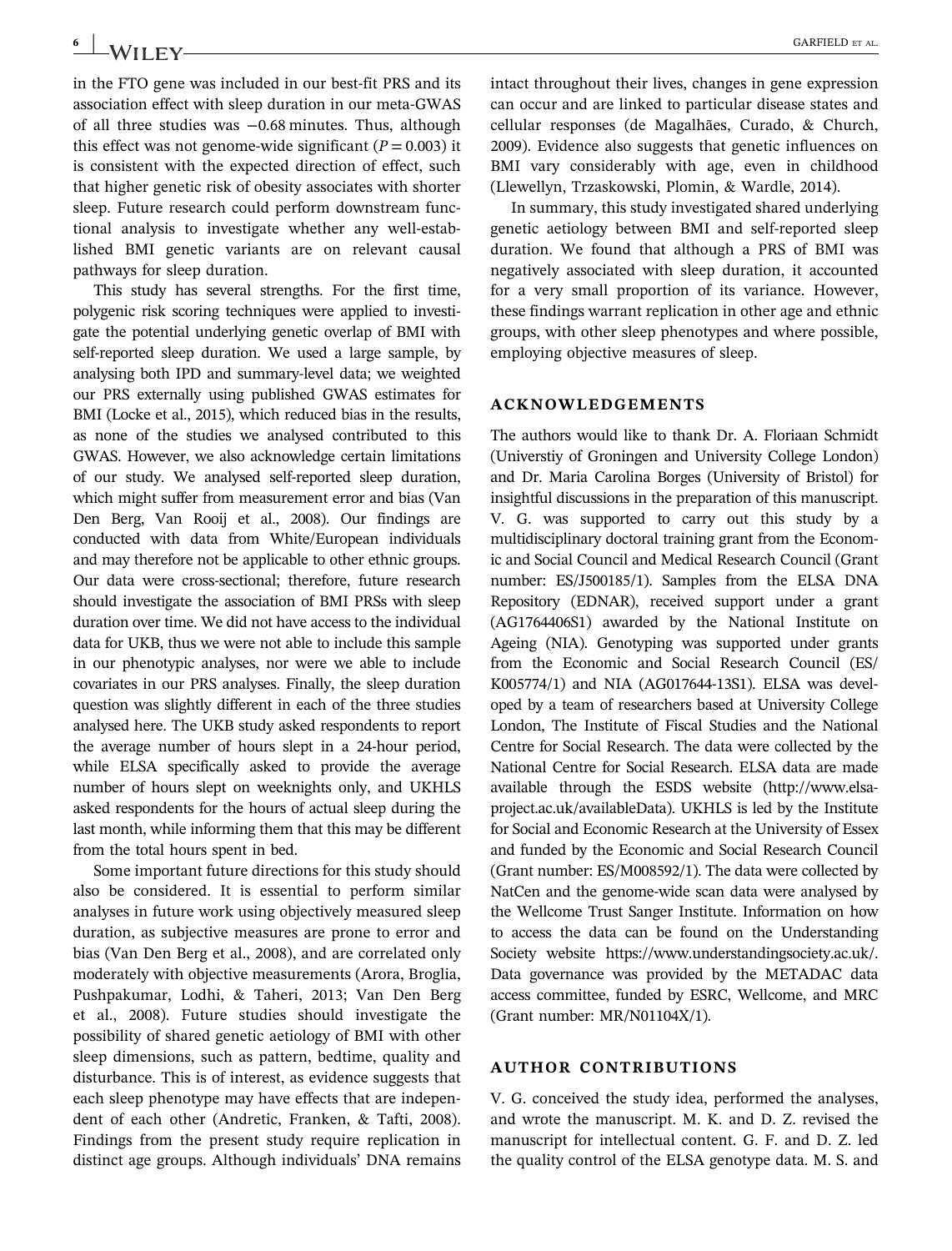in the FTO gene was included in our best‐fit PRS and its association effect with sleep duration in our meta‐GWAS of all three studies was −0.68 minutes. Thus, although this effect was not genome-wide significant ( $P = 0.003$ ) it is consistent with the expected direction of effect, such that higher genetic risk of obesity associates with shorter sleep. Future research could perform downstream functional analysis to investigate whether any well‐established BMI genetic variants are on relevant causal pathways for sleep duration.

This study has several strengths. For the first time, polygenic risk scoring techniques were applied to investigate the potential underlying genetic overlap of BMI with self-reported sleep duration. We used a large sample, by analysing both IPD and summary‐level data; we weighted our PRS externally using published GWAS estimates for BMI (Locke et al., 2015), which reduced bias in the results, as none of the studies we analysed contributed to this GWAS. However, we also acknowledge certain limitations of our study. We analysed self‐reported sleep duration, which might suffer from measurement error and bias (Van Den Berg, Van Rooij et al., 2008). Our findings are conducted with data from White/European individuals and may therefore not be applicable to other ethnic groups. Our data were cross‐sectional; therefore, future research should investigate the association of BMI PRSs with sleep duration over time. We did not have access to the individual data for UKB, thus we were not able to include this sample in our phenotypic analyses, nor were we able to include covariates in our PRS analyses. Finally, the sleep duration question was slightly different in each of the three studies analysed here. The UKB study asked respondents to report the average number of hours slept in a 24‐hour period, while ELSA specifically asked to provide the average number of hours slept on weeknights only, and UKHLS asked respondents for the hours of actual sleep during the last month, while informing them that this may be different from the total hours spent in bed.

Some important future directions for this study should also be considered. It is essential to perform similar analyses in future work using objectively measured sleep duration, as subjective measures are prone to error and bias (Van Den Berg et al., 2008), and are correlated only moderately with objective measurements (Arora, Broglia, Pushpakumar, Lodhi, & Taheri, 2013; Van Den Berg et al., 2008). Future studies should investigate the possibility of shared genetic aetiology of BMI with other sleep dimensions, such as pattern, bedtime, quality and disturbance. This is of interest, as evidence suggests that each sleep phenotype may have effects that are independent of each other (Andretic, Franken, & Tafti, 2008). Findings from the present study require replication in distinct age groups. Although individuals' DNA remains

intact throughout their lives, changes in gene expression can occur and are linked to particular disease states and cellular responses (de Magalhães, Curado, & Church, 2009). Evidence also suggests that genetic influences on BMI vary considerably with age, even in childhood (Llewellyn, Trzaskowski, Plomin, & Wardle, 2014).

In summary, this study investigated shared underlying genetic aetiology between BMI and self‐reported sleep duration. We found that although a PRS of BMI was negatively associated with sleep duration, it accounted for a very small proportion of its variance. However, these findings warrant replication in other age and ethnic groups, with other sleep phenotypes and where possible, employing objective measures of sleep.

### ACKNOWLEDGEMENTS

The authors would like to thank Dr. A. Floriaan Schmidt (Universtiy of Groningen and University College London) and Dr. Maria Carolina Borges (University of Bristol) for insightful discussions in the preparation of this manuscript. V. G. was supported to carry out this study by a multidisciplinary doctoral training grant from the Economic and Social Council and Medical Research Council (Grant number: ES/J500185/1). Samples from the ELSA DNA Repository (EDNAR), received support under a grant (AG1764406S1) awarded by the National Institute on Ageing (NIA). Genotyping was supported under grants from the Economic and Social Research Council (ES/ K005774/1) and NIA (AG017644‐13S1). ELSA was developed by a team of researchers based at University College London, The Institute of Fiscal Studies and the National Centre for Social Research. The data were collected by the National Centre for Social Research. ELSA data are made available through the ESDS website ([http://www.elsa](http://www.elsa-project.ac.uk/availableData)[project.ac.uk/availableData](http://www.elsa-project.ac.uk/availableData)). UKHLS is led by the Institute for Social and Economic Research at the University of Essex and funded by the Economic and Social Research Council (Grant number: ES/M008592/1). The data were collected by NatCen and the genome‐wide scan data were analysed by the Wellcome Trust Sanger Institute. Information on how to access the data can be found on the Understanding Society website<https://www.understandingsociety.ac.uk/>. Data governance was provided by the METADAC data access committee, funded by ESRC, Wellcome, and MRC (Grant number: MR/N01104X/1).

### AUTHOR CONTRIBUTIONS

V. G. conceived the study idea, performed the analyses, and wrote the manuscript. M. K. and D. Z. revised the manuscript for intellectual content. G. F. and D. Z. led the quality control of the ELSA genotype data. M. S. and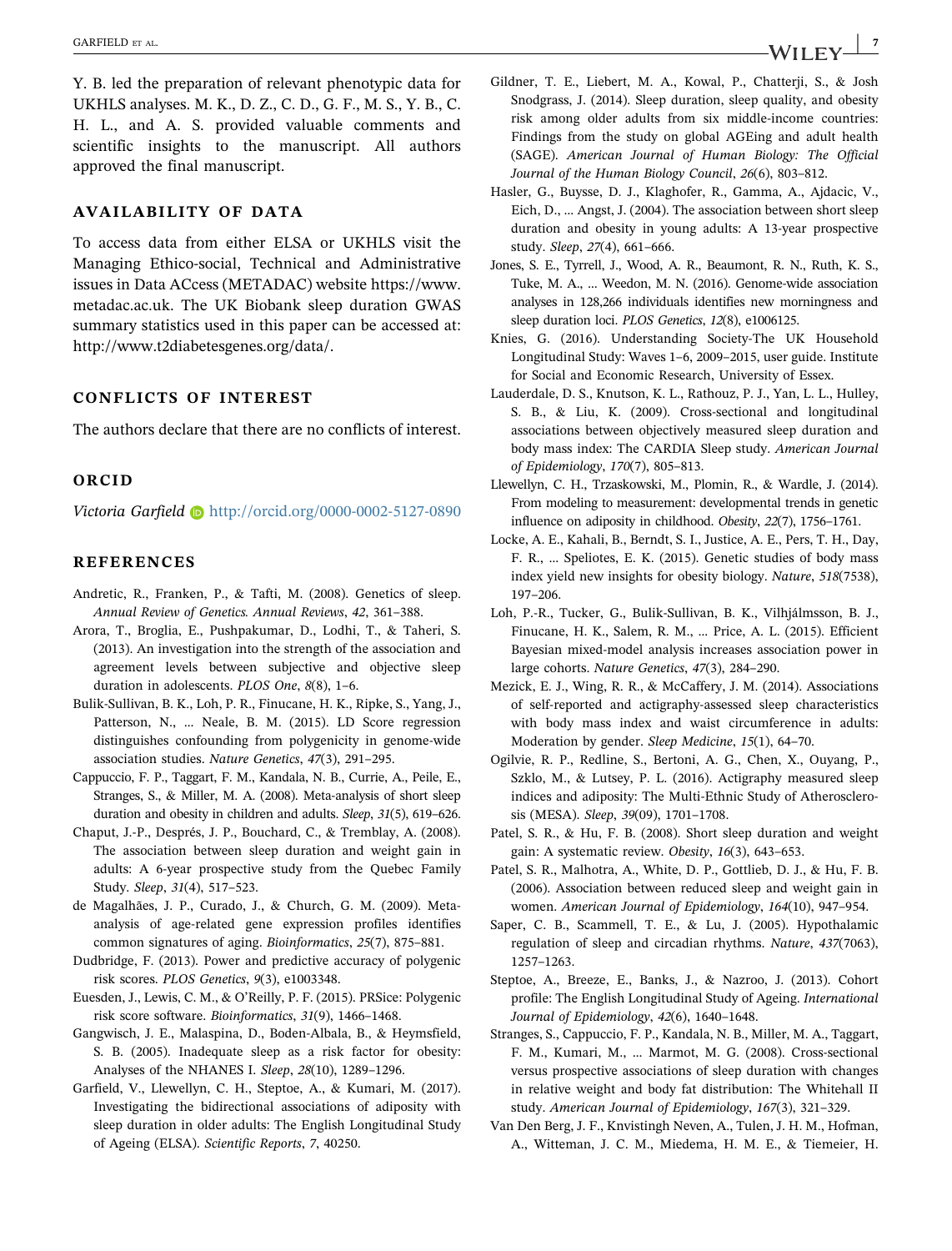Y. B. led the preparation of relevant phenotypic data for UKHLS analyses. M. K., D. Z., C. D., G. F., M. S., Y. B., C. H. L., and A. S. provided valuable comments and scientific insights to the manuscript. All authors approved the final manuscript.

### AVAILABILITY OF DATA

To access data from either ELSA or UKHLS visit the Managing Ethico‐social, Technical and Administrative issues in Data ACcess (METADAC) website [https://www.](https://www.metadac.ac.uk) [metadac.ac.uk](https://www.metadac.ac.uk). The UK Biobank sleep duration GWAS summary statistics used in this paper can be accessed at: <http://www.t2diabetesgenes.org/data/>.

### CONFLICTS OF INTEREST

The authors declare that there are no conflicts of interest.

### ORCID

Victoria Garfield **b** <http://orcid.org/0000-0002-5127-0890>

### REFERENCES

- Andretic, R., Franken, P., & Tafti, M. (2008). Genetics of sleep. Annual Review of Genetics. Annual Reviews, 42, 361–388.
- Arora, T., Broglia, E., Pushpakumar, D., Lodhi, T., & Taheri, S. (2013). An investigation into the strength of the association and agreement levels between subjective and objective sleep duration in adolescents. PLOS One, 8(8), 1–6.
- Bulik‐Sullivan, B. K., Loh, P. R., Finucane, H. K., Ripke, S., Yang, J., Patterson, N., … Neale, B. M. (2015). LD Score regression distinguishes confounding from polygenicity in genome‐wide association studies. Nature Genetics, 47(3), 291–295.
- Cappuccio, F. P., Taggart, F. M., Kandala, N. B., Currie, A., Peile, E., Stranges, S., & Miller, M. A. (2008). Meta‐analysis of short sleep duration and obesity in children and adults. Sleep, 31(5), 619–626.
- Chaput, J.‐P., Després, J. P., Bouchard, C., & Tremblay, A. (2008). The association between sleep duration and weight gain in adults: A 6‐year prospective study from the Quebec Family Study. Sleep, 31(4), 517–523.
- de Magalhães, J. P., Curado, J., & Church, G. M. (2009). Metaanalysis of age‐related gene expression profiles identifies common signatures of aging. Bioinformatics, 25(7), 875–881.
- Dudbridge, F. (2013). Power and predictive accuracy of polygenic risk scores. PLOS Genetics, 9(3), e1003348.
- Euesden, J., Lewis, C. M., & O'Reilly, P. F. (2015). PRSice: Polygenic risk score software. Bioinformatics, 31(9), 1466–1468.
- Gangwisch, J. E., Malaspina, D., Boden‐Albala, B., & Heymsfield, S. B. (2005). Inadequate sleep as a risk factor for obesity: Analyses of the NHANES I. Sleep, 28(10), 1289–1296.
- Garfield, V., Llewellyn, C. H., Steptoe, A., & Kumari, M. (2017). Investigating the bidirectional associations of adiposity with sleep duration in older adults: The English Longitudinal Study of Ageing (ELSA). Scientific Reports, 7, 40250.
- Gildner, T. E., Liebert, M. A., Kowal, P., Chatterji, S., & Josh Snodgrass, J. (2014). Sleep duration, sleep quality, and obesity risk among older adults from six middle‐income countries: Findings from the study on global AGEing and adult health (SAGE). American Journal of Human Biology: The Official Journal of the Human Biology Council, 26(6), 803–812.
- Hasler, G., Buysse, D. J., Klaghofer, R., Gamma, A., Ajdacic, V., Eich, D., … Angst, J. (2004). The association between short sleep duration and obesity in young adults: A 13‐year prospective study. Sleep, 27(4), 661–666.
- Jones, S. E., Tyrrell, J., Wood, A. R., Beaumont, R. N., Ruth, K. S., Tuke, M. A., … Weedon, M. N. (2016). Genome‐wide association analyses in 128,266 individuals identifies new morningness and sleep duration loci. PLOS Genetics, 12(8), e1006125.
- Knies, G. (2016). Understanding Society‐The UK Household Longitudinal Study: Waves 1–6, 2009–2015, user guide. Institute for Social and Economic Research, University of Essex.
- Lauderdale, D. S., Knutson, K. L., Rathouz, P. J., Yan, L. L., Hulley, S. B., & Liu, K. (2009). Cross-sectional and longitudinal associations between objectively measured sleep duration and body mass index: The CARDIA Sleep study. American Journal of Epidemiology, 170(7), 805–813.
- Llewellyn, C. H., Trzaskowski, M., Plomin, R., & Wardle, J. (2014). From modeling to measurement: developmental trends in genetic influence on adiposity in childhood. Obesity, 22(7), 1756–1761.
- Locke, A. E., Kahali, B., Berndt, S. I., Justice, A. E., Pers, T. H., Day, F. R., … Speliotes, E. K. (2015). Genetic studies of body mass index yield new insights for obesity biology. Nature, 518(7538), 197–206.
- Loh, P.‐R., Tucker, G., Bulik‐Sullivan, B. K., Vilhjálmsson, B. J., Finucane, H. K., Salem, R. M., … Price, A. L. (2015). Efficient Bayesian mixed‐model analysis increases association power in large cohorts. Nature Genetics, 47(3), 284–290.
- Mezick, E. J., Wing, R. R., & McCaffery, J. M. (2014). Associations of self‐reported and actigraphy‐assessed sleep characteristics with body mass index and waist circumference in adults: Moderation by gender. Sleep Medicine, 15(1), 64–70.
- Ogilvie, R. P., Redline, S., Bertoni, A. G., Chen, X., Ouyang, P., Szklo, M., & Lutsey, P. L. (2016). Actigraphy measured sleep indices and adiposity: The Multi‐Ethnic Study of Atherosclerosis (MESA). Sleep, 39(09), 1701–1708.
- Patel, S. R., & Hu, F. B. (2008). Short sleep duration and weight gain: A systematic review. Obesity, 16(3), 643–653.
- Patel, S. R., Malhotra, A., White, D. P., Gottlieb, D. J., & Hu, F. B. (2006). Association between reduced sleep and weight gain in women. American Journal of Epidemiology, 164(10), 947–954.
- Saper, C. B., Scammell, T. E., & Lu, J. (2005). Hypothalamic regulation of sleep and circadian rhythms. Nature, 437(7063), 1257–1263.
- Steptoe, A., Breeze, E., Banks, J., & Nazroo, J. (2013). Cohort profile: The English Longitudinal Study of Ageing. International Journal of Epidemiology, 42(6), 1640–1648.
- Stranges, S., Cappuccio, F. P., Kandala, N. B., Miller, M. A., Taggart, F. M., Kumari, M., … Marmot, M. G. (2008). Cross‐sectional versus prospective associations of sleep duration with changes in relative weight and body fat distribution: The Whitehall II study. American Journal of Epidemiology, 167(3), 321–329.
- Van Den Berg, J. F., Knvistingh Neven, A., Tulen, J. H. M., Hofman, A., Witteman, J. C. M., Miedema, H. M. E., & Tiemeier, H.